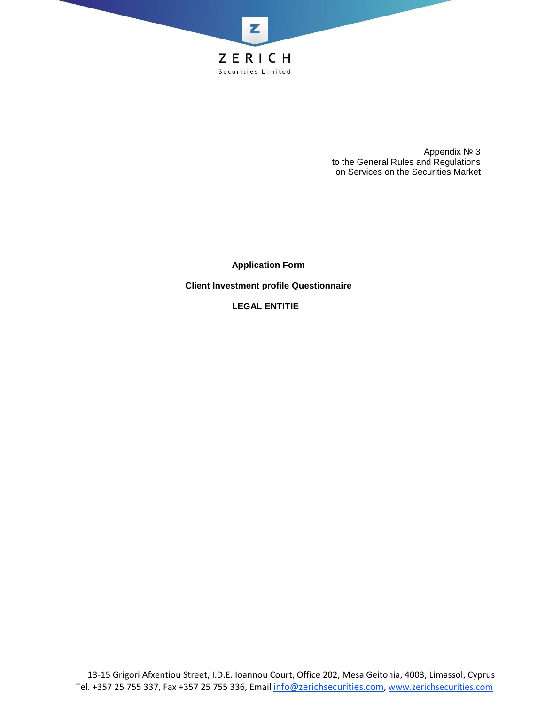

Appendix № 3 to the General Rules and Regulations on Services on the Securities Market

**Application Form**

**Client Investment profile Questionnaire**

**LEGAL ENTITIE**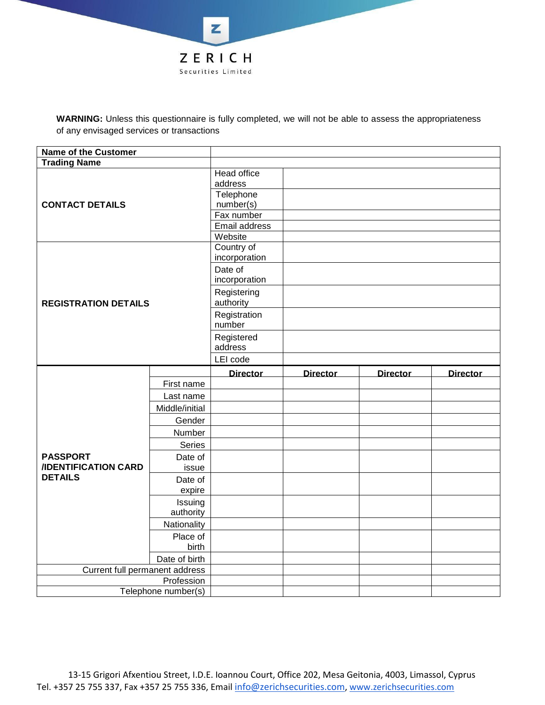

**WARNING:** Unless this questionnaire is fully completed, we will not be able to assess the appropriateness of any envisaged services or transactions

| <b>Name of the Customer</b>                   |                                   |                                                                                 |                 |                 |                 |
|-----------------------------------------------|-----------------------------------|---------------------------------------------------------------------------------|-----------------|-----------------|-----------------|
| <b>Trading Name</b>                           |                                   |                                                                                 |                 |                 |                 |
| <b>CONTACT DETAILS</b>                        |                                   | Head office<br>address<br>Telephone<br>number(s)<br>Fax number<br>Email address |                 |                 |                 |
|                                               |                                   | Website<br>Country of<br>incorporation<br>Date of<br>incorporation              |                 |                 |                 |
| <b>REGISTRATION DETAILS</b>                   |                                   | Registering<br>authority<br>Registration                                        |                 |                 |                 |
|                                               |                                   | number<br>Registered<br>address                                                 |                 |                 |                 |
|                                               |                                   | LEI code                                                                        |                 |                 |                 |
|                                               |                                   | <b>Director</b>                                                                 | <b>Director</b> | <b>Director</b> | <b>Director</b> |
|                                               | First name                        |                                                                                 |                 |                 |                 |
|                                               |                                   |                                                                                 |                 |                 |                 |
|                                               | Last name                         |                                                                                 |                 |                 |                 |
|                                               | Middle/initial                    |                                                                                 |                 |                 |                 |
|                                               | Gender                            |                                                                                 |                 |                 |                 |
|                                               | Number                            |                                                                                 |                 |                 |                 |
| <b>PASSPORT</b><br><b>IDENTIFICATION CARD</b> | Series<br>Date of<br>issue        |                                                                                 |                 |                 |                 |
| <b>DETAILS</b>                                | Date of<br>expire                 |                                                                                 |                 |                 |                 |
|                                               | Issuing<br>authority              |                                                                                 |                 |                 |                 |
|                                               | Nationality                       |                                                                                 |                 |                 |                 |
|                                               | Place of<br>birth                 |                                                                                 |                 |                 |                 |
|                                               | Date of birth                     |                                                                                 |                 |                 |                 |
| Current full permanent address                |                                   |                                                                                 |                 |                 |                 |
|                                               | Profession<br>Telephone number(s) |                                                                                 |                 |                 |                 |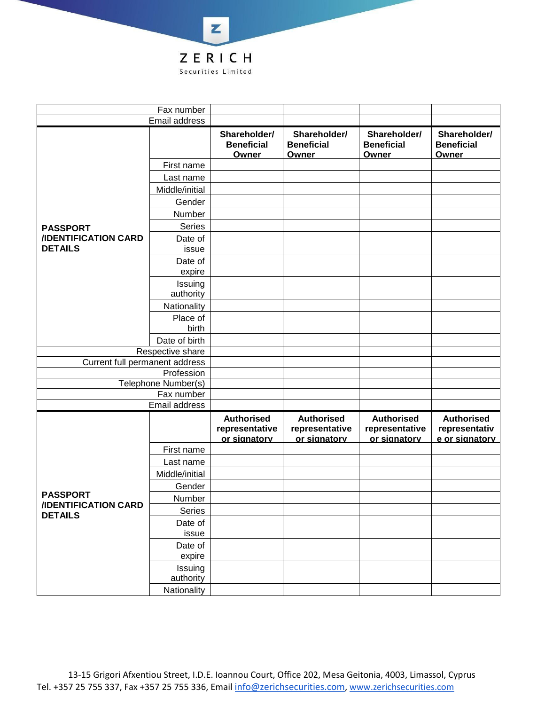

|                                               | Fax number                  |                                                     |                                                     |                                                     |                                                      |
|-----------------------------------------------|-----------------------------|-----------------------------------------------------|-----------------------------------------------------|-----------------------------------------------------|------------------------------------------------------|
|                                               | Email address               |                                                     |                                                     |                                                     |                                                      |
|                                               |                             | Shareholder/<br><b>Beneficial</b><br>Owner          | Shareholder/<br><b>Beneficial</b><br><b>Owner</b>   | Shareholder/<br><b>Beneficial</b><br><b>Owner</b>   | Shareholder/<br><b>Beneficial</b><br>Owner           |
|                                               | First name                  |                                                     |                                                     |                                                     |                                                      |
|                                               | Last name                   |                                                     |                                                     |                                                     |                                                      |
|                                               | Middle/initial              |                                                     |                                                     |                                                     |                                                      |
|                                               | Gender                      |                                                     |                                                     |                                                     |                                                      |
|                                               | Number                      |                                                     |                                                     |                                                     |                                                      |
| <b>PASSPORT</b>                               | <b>Series</b>               |                                                     |                                                     |                                                     |                                                      |
| <b>IIDENTIFICATION CARD</b><br><b>DETAILS</b> | Date of<br>issue            |                                                     |                                                     |                                                     |                                                      |
|                                               | Date of<br>expire           |                                                     |                                                     |                                                     |                                                      |
|                                               | Issuing<br>authority        |                                                     |                                                     |                                                     |                                                      |
|                                               | Nationality                 |                                                     |                                                     |                                                     |                                                      |
|                                               | Place of<br>birth           |                                                     |                                                     |                                                     |                                                      |
|                                               | Date of birth               |                                                     |                                                     |                                                     |                                                      |
|                                               | Respective share            |                                                     |                                                     |                                                     |                                                      |
| Current full permanent address                |                             |                                                     |                                                     |                                                     |                                                      |
|                                               | Profession                  |                                                     |                                                     |                                                     |                                                      |
|                                               | Telephone Number(s)         |                                                     |                                                     |                                                     |                                                      |
|                                               | Fax number<br>Email address |                                                     |                                                     |                                                     |                                                      |
|                                               |                             |                                                     |                                                     |                                                     |                                                      |
|                                               |                             | <b>Authorised</b><br>representative<br>or signatory | <b>Authorised</b><br>representative<br>or signatory | <b>Authorised</b><br>representative<br>or signatory | <b>Authorised</b><br>representativ<br>e or signatory |
|                                               | First name                  |                                                     |                                                     |                                                     |                                                      |
|                                               | Last name                   |                                                     |                                                     |                                                     |                                                      |
|                                               | Middle/initial              |                                                     |                                                     |                                                     |                                                      |
|                                               | Gender                      |                                                     |                                                     |                                                     |                                                      |
| <b>PASSPORT</b>                               | Number                      |                                                     |                                                     |                                                     |                                                      |
| <b>/IDENTIFICATION CARD</b><br><b>DETAILS</b> | Series                      |                                                     |                                                     |                                                     |                                                      |
|                                               | Date of<br>issue            |                                                     |                                                     |                                                     |                                                      |
|                                               | Date of                     |                                                     |                                                     |                                                     |                                                      |
|                                               | expire                      |                                                     |                                                     |                                                     |                                                      |
|                                               | Issuing<br>authority        |                                                     |                                                     |                                                     |                                                      |
|                                               | Nationality                 |                                                     |                                                     |                                                     |                                                      |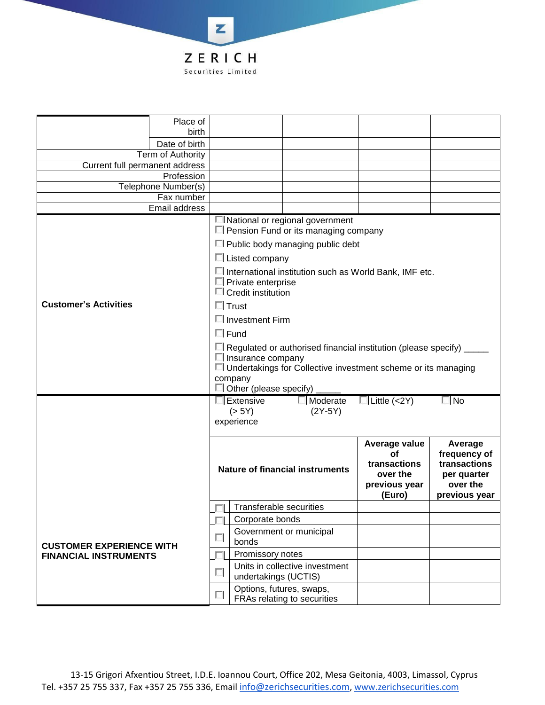

|                                 | Place of            |                                                                                                                                                                                                                                                                                                                                                                                                                                                                                                |                                                                    |                                                                                     |                     |              |
|---------------------------------|---------------------|------------------------------------------------------------------------------------------------------------------------------------------------------------------------------------------------------------------------------------------------------------------------------------------------------------------------------------------------------------------------------------------------------------------------------------------------------------------------------------------------|--------------------------------------------------------------------|-------------------------------------------------------------------------------------|---------------------|--------------|
|                                 | birth               |                                                                                                                                                                                                                                                                                                                                                                                                                                                                                                |                                                                    |                                                                                     |                     |              |
|                                 | Date of birth       |                                                                                                                                                                                                                                                                                                                                                                                                                                                                                                |                                                                    |                                                                                     |                     |              |
| Current full permanent address  | Term of Authority   |                                                                                                                                                                                                                                                                                                                                                                                                                                                                                                |                                                                    |                                                                                     |                     |              |
|                                 | Profession          |                                                                                                                                                                                                                                                                                                                                                                                                                                                                                                |                                                                    |                                                                                     |                     |              |
|                                 | Telephone Number(s) |                                                                                                                                                                                                                                                                                                                                                                                                                                                                                                |                                                                    |                                                                                     |                     |              |
|                                 | Fax number          |                                                                                                                                                                                                                                                                                                                                                                                                                                                                                                |                                                                    |                                                                                     |                     |              |
|                                 | Email address       |                                                                                                                                                                                                                                                                                                                                                                                                                                                                                                |                                                                    |                                                                                     |                     |              |
| <b>Customer's Activities</b>    |                     | I National or regional government<br>□ Pension Fund or its managing company<br>□ Public body managing public debt<br>$\Box$ Listed company<br>□ International institution such as World Bank, IMF etc.<br>$\Box$ Private enterprise<br>$\Box$ Credit institution<br>$\Box$ Trust<br>□ Investment Firm<br>$\Box$ Fund<br>□ Regulated or authorised financial institution (please specify)<br>Il Insurance company<br>□ Undertakings for Collective investment scheme or its managing<br>company |                                                                    |                                                                                     |                     |              |
|                                 |                     |                                                                                                                                                                                                                                                                                                                                                                                                                                                                                                | $\Box$ Other (please specify)<br>Extensive<br>(> 5Y)<br>experience | $\Box$ Moderate<br>$(2Y-5Y)$                                                        | $\Box$ Little (<2Y) | $\square$ No |
|                                 |                     | Average value<br><b>of</b><br>transactions<br><b>Nature of financial instruments</b><br>over the<br>previous year<br>(Euro)                                                                                                                                                                                                                                                                                                                                                                    |                                                                    | Average<br>frequency of<br>transactions<br>per quarter<br>over the<br>previous year |                     |              |
|                                 |                     |                                                                                                                                                                                                                                                                                                                                                                                                                                                                                                | <b>Transferable securities</b>                                     |                                                                                     |                     |              |
|                                 |                     |                                                                                                                                                                                                                                                                                                                                                                                                                                                                                                | Corporate bonds                                                    |                                                                                     |                     |              |
| <b>CUSTOMER EXPERIENCE WITH</b> |                     | п                                                                                                                                                                                                                                                                                                                                                                                                                                                                                              | Government or municipal<br>bonds                                   |                                                                                     |                     |              |
| <b>FINANCIAL INSTRUMENTS</b>    |                     |                                                                                                                                                                                                                                                                                                                                                                                                                                                                                                | Promissory notes                                                   |                                                                                     |                     |              |
|                                 |                     | П                                                                                                                                                                                                                                                                                                                                                                                                                                                                                              | undertakings (UCTIS)                                               | Units in collective investment                                                      |                     |              |
|                                 |                     | П                                                                                                                                                                                                                                                                                                                                                                                                                                                                                              | Options, futures, swaps,<br>FRAs relating to securities            |                                                                                     |                     |              |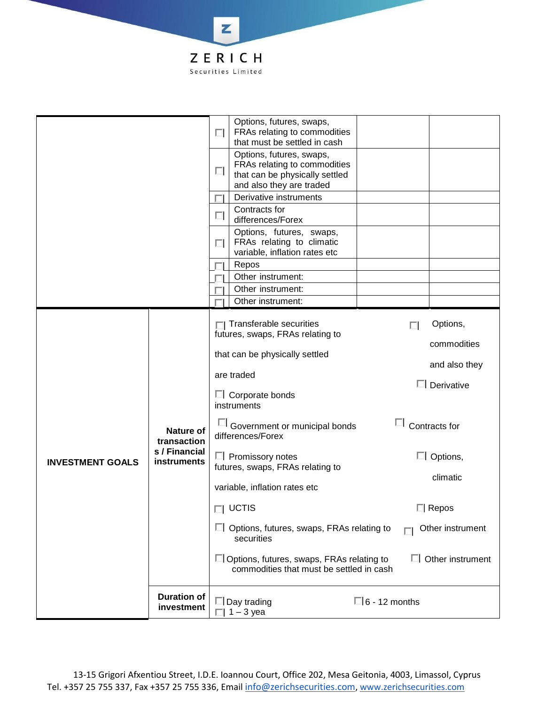

|                         |                              | $\Box$ Options, futures, swaps, FRAs relating to<br>securities<br>□ Options, futures, swaps, FRAs relating to<br>commodities that must be settled in cash | Other instrument<br>$\Box$ Other instrument |
|-------------------------|------------------------------|-----------------------------------------------------------------------------------------------------------------------------------------------------------|---------------------------------------------|
|                         |                              | variable, inflation rates etc<br>$\Box$ UCTIS                                                                                                             | Repos                                       |
|                         |                              | futures, swaps, FRAs relating to                                                                                                                          | climatic                                    |
| <b>INVESTMENT GOALS</b> | s / Financial<br>instruments | $\Box$ Promissory notes                                                                                                                                   | $\Box$ Options,                             |
|                         | Nature of<br>transaction     | Government or municipal bonds<br>differences/Forex                                                                                                        | Contracts for                               |
|                         |                              | $\Box$ Corporate bonds<br>instruments                                                                                                                     | Derivative                                  |
|                         |                              | are traded                                                                                                                                                | and also they                               |
|                         |                              | that can be physically settled                                                                                                                            | commodities                                 |
|                         |                              | $\Box$ Transferable securities<br>futures, swaps, FRAs relating to                                                                                        | Options,<br>п                               |
|                         |                              | Other instrument:                                                                                                                                         |                                             |
|                         |                              | Other instrument:                                                                                                                                         |                                             |
|                         |                              | Repos<br>Other instrument:                                                                                                                                |                                             |
|                         |                              | Options, futures, swaps,<br>FRAs relating to climatic<br>п<br>variable, inflation rates etc                                                               |                                             |
|                         |                              | Contracts for<br><b>A</b><br>differences/Forex                                                                                                            |                                             |
|                         |                              | and also they are traded<br>Derivative instruments                                                                                                        |                                             |
|                         |                              | Options, futures, swaps,<br>FRAs relating to commodities<br>$\overline{a}$<br>that can be physically settled                                              |                                             |
|                         |                              | Options, futures, swaps,<br>FRAs relating to commodities<br>$\overline{a}$<br>that must be settled in cash                                                |                                             |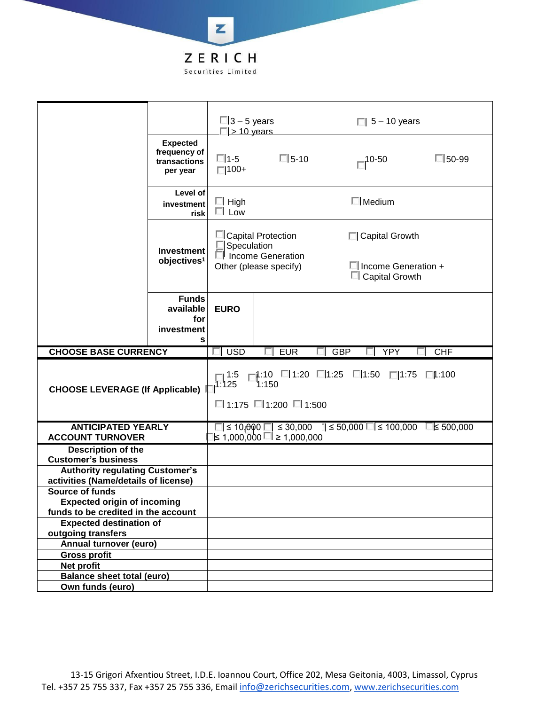

|                                                                                |                                                             | $\square$ 3 – 5 years<br>$\Box$ > 10 years |                                             | $\Box$ 5 – 10 years                                                               |              |
|--------------------------------------------------------------------------------|-------------------------------------------------------------|--------------------------------------------|---------------------------------------------|-----------------------------------------------------------------------------------|--------------|
|                                                                                | <b>Expected</b><br>frequency of<br>transactions<br>per year | □ 1-5<br>$\Box$ 100+                       | $\Box$ 5-10                                 | $-10-50$                                                                          | $\Box$ 50-99 |
|                                                                                | Level of<br>investment<br>risk                              | $\Box$ High<br>$\Box$ Low                  |                                             | $\Box$ Medium                                                                     |              |
|                                                                                | <b>Investment</b>                                           |                                            | □ Capital Protection<br>Speculation         | □ Capital Growth                                                                  |              |
|                                                                                | objectives <sup>1</sup>                                     |                                            | Income Generation<br>Other (please specify) | $\Box$ Income Generation +<br>$\Box$ Capital Growth                               |              |
|                                                                                | <b>Funds</b><br>available<br>for                            | <b>EURO</b>                                |                                             |                                                                                   |              |
|                                                                                | investment                                                  |                                            |                                             |                                                                                   |              |
|                                                                                | s                                                           |                                            |                                             |                                                                                   |              |
| <b>CHOOSE BASE CURRENCY</b>                                                    |                                                             | $\Box$ USD                                 | <b>EUR</b>                                  | <b>GBP</b><br><b>YPY</b>                                                          | CHF<br>П     |
| <b>CHOOSE LEVERAGE (If Applicable)</b>                                         |                                                             | լ 1:5<br>1:125                             | 1:150<br>□ 1:175 □ 1:200 □ 1:500            | $\Box$ 1:10 $\Box$ 1:20 $\Box$ 1:25 $\Box$ 1:50 $\Box$ 1:75 $\Box$ 1:100          |              |
| <b>ANTICIPATED YEARLY</b><br><b>ACCOUNT TURNOVER</b>                           |                                                             |                                            | $\leq 1,000,000$ □ ≥ 1,000,000              | $\Box$ ≤ 10,000 $\Box$ ≤ 30,000 $\Box$ ≤ 50,000 $\Box$ ≤ 100,000 $\Box$ ≤ 500,000 |              |
| Description of the                                                             |                                                             |                                            |                                             |                                                                                   |              |
| <b>Customer's business</b>                                                     |                                                             |                                            |                                             |                                                                                   |              |
| <b>Authority regulating Customer's</b><br>activities (Name/details of license) |                                                             |                                            |                                             |                                                                                   |              |
| Source of funds                                                                |                                                             |                                            |                                             |                                                                                   |              |
| <b>Expected origin of incoming</b>                                             |                                                             |                                            |                                             |                                                                                   |              |
| funds to be credited in the account<br><b>Expected destination of</b>          |                                                             |                                            |                                             |                                                                                   |              |
| outgoing transfers                                                             |                                                             |                                            |                                             |                                                                                   |              |
| Annual turnover (euro)                                                         |                                                             |                                            |                                             |                                                                                   |              |
| <b>Gross profit</b>                                                            |                                                             |                                            |                                             |                                                                                   |              |
| Net profit<br><b>Balance sheet total (euro)</b>                                |                                                             |                                            |                                             |                                                                                   |              |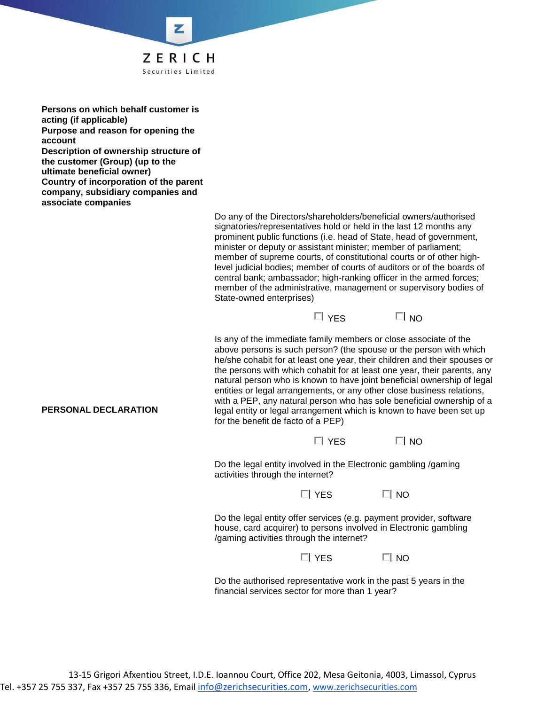

**Persons on which behalf customer is acting (if applicable) Purpose and reason for opening the account Description of ownership structure of the customer (Group) (up to the ultimate beneficial owner) Country of incorporation of the parent company, subsidiary companies and associate companies**

> Do any of the Directors/shareholders/beneficial owners/authorised signatories/representatives hold or held in the last 12 months any prominent public functions (i.e. head of State, head of government, minister or deputy or assistant minister; member of parliament; member of supreme courts, of constitutional courts or of other highlevel judicial bodies; member of courts of auditors or of the boards of central bank; ambassador; high-ranking officer in the armed forces; member of the administrative, management or supervisory bodies of State-owned enterprises)



Is any of the immediate family members or close associate of the above persons is such person? (the spouse or the person with which he/she cohabit for at least one year, their children and their spouses or the persons with which cohabit for at least one year, their parents, any natural person who is known to have joint beneficial ownership of legal entities or legal arrangements, or any other close business relations, with a PEP, any natural person who has sole beneficial ownership of a legal entity or legal arrangement which is known to have been set up for the benefit de facto of a PEP)

| $\Box$ YES | $\Box$ NO |
|------------|-----------|
|            |           |

Do the legal entity involved in the Electronic gambling /gaming activities through the internet?

 $\Box$  YES  $\Box$  NO

Do the legal entity offer services (e.g. payment provider, software house, card acquirer) to persons involved in Electronic gambling /gaming activities through the internet?

 $\Box$  YES  $\Box$  NO

Do the authorised representative work in the past 5 years in the financial services sector for more than 1 year?

## **PERSONAL DECLARATION**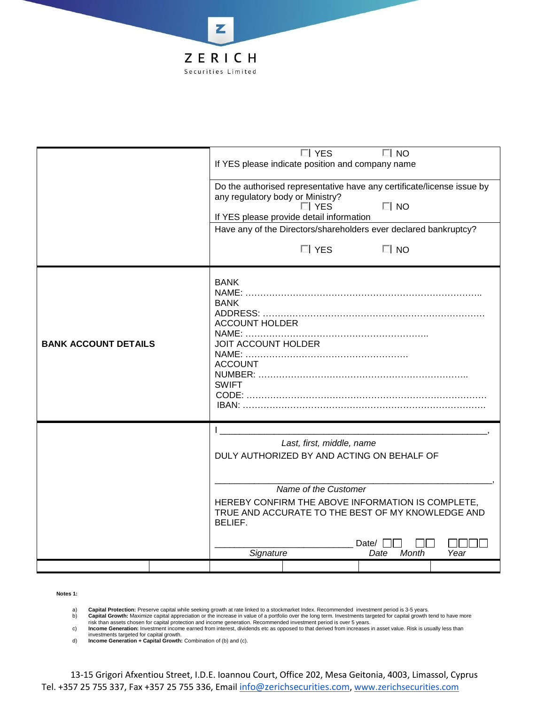

|                             |  |                                                   | $\Box$ YES                                                             | $\Box$ NO     |      |  |
|-----------------------------|--|---------------------------------------------------|------------------------------------------------------------------------|---------------|------|--|
|                             |  | If YES please indicate position and company name  |                                                                        |               |      |  |
|                             |  |                                                   |                                                                        |               |      |  |
|                             |  |                                                   | Do the authorised representative have any certificate/license issue by |               |      |  |
|                             |  | any regulatory body or Ministry?                  |                                                                        |               |      |  |
|                             |  |                                                   | $\Box$ YES                                                             | $\Box$ NO     |      |  |
|                             |  |                                                   | If YES please provide detail information                               |               |      |  |
|                             |  |                                                   | Have any of the Directors/shareholders ever declared bankruptcy?       |               |      |  |
|                             |  |                                                   | $\Box$ YES                                                             | $\Box$ NO     |      |  |
|                             |  |                                                   |                                                                        |               |      |  |
|                             |  | <b>BANK</b>                                       |                                                                        |               |      |  |
|                             |  |                                                   |                                                                        |               |      |  |
|                             |  | <b>BANK</b>                                       |                                                                        |               |      |  |
|                             |  | <b>ACCOUNT HOLDER</b>                             |                                                                        |               |      |  |
|                             |  |                                                   |                                                                        |               |      |  |
| <b>BANK ACCOUNT DETAILS</b> |  | <b>JOIT ACCOUNT HOLDER</b>                        |                                                                        |               |      |  |
|                             |  |                                                   |                                                                        |               |      |  |
|                             |  | <b>ACCOUNT</b>                                    |                                                                        |               |      |  |
|                             |  | <b>SWIFT</b>                                      |                                                                        |               |      |  |
|                             |  |                                                   |                                                                        |               |      |  |
|                             |  |                                                   |                                                                        |               |      |  |
|                             |  |                                                   |                                                                        |               |      |  |
|                             |  |                                                   |                                                                        |               |      |  |
|                             |  |                                                   | Last, first, middle, name                                              |               |      |  |
|                             |  | DULY AUTHORIZED BY AND ACTING ON BEHALF OF        |                                                                        |               |      |  |
|                             |  |                                                   |                                                                        |               |      |  |
|                             |  | Name of the Customer                              |                                                                        |               |      |  |
|                             |  | HEREBY CONFIRM THE ABOVE INFORMATION IS COMPLETE, |                                                                        |               |      |  |
|                             |  |                                                   | TRUE AND ACCURATE TO THE BEST OF MY KNOWLEDGE AND                      |               |      |  |
|                             |  | BELIEF.                                           |                                                                        |               |      |  |
|                             |  |                                                   |                                                                        |               |      |  |
|                             |  |                                                   |                                                                        | Date/         |      |  |
|                             |  | Signature                                         |                                                                        | Month<br>Date | Year |  |
|                             |  |                                                   |                                                                        |               |      |  |

## **Notes 1:**

a) **Capital Protection:** Preserve capital while seeking growth at rate linked to a stockmarket Index. Recommended investment period is 3-5 years.

b) **Capital Growth:** Maximize capital appreciation or the increase in value of a portfolio over the long term. Investments targeted for capital growth tend to have more present to have more than the start of the increase i

risk than assets chosen for capital protection and income generation. Recommended investment period is over 5 years.<br>C) Income Generation: Investment income earned from interest, dividends etc as opposed to that derived fr

investments targeted for capital growth. d) **Income Generation + Capital Growth:** Combination of (b) and (c).

13-15 Grigori Afxentiou Street, I.D.E. Ioannou Court, Office 202, Mesa Geitonia, 4003, Limassol, Cyprus Tel. +357 25 755 337, Fax +357 25 755 336, Email [info@zerichsecurities.com](mailto:info@zerichsecurities.com), [www.zerichsecurities.com](https://www.zerichsecurities.com/)